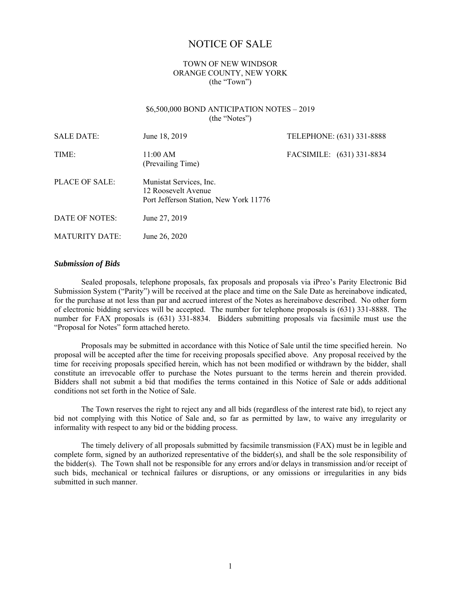# NOTICE OF SALE

## TOWN OF NEW WINDSOR ORANGE COUNTY, NEW YORK (the "Town")

#### \$6,500,000 BOND ANTICIPATION NOTES – 2019 (the "Notes")

| <b>SALE DATE:</b>     | June 18, 2019                                                                            | TELEPHONE: (631) 331-8888 |  |
|-----------------------|------------------------------------------------------------------------------------------|---------------------------|--|
| TIME:                 | $11:00 \text{ AM}$<br>(Prevailing Time)                                                  | FACSIMILE: (631) 331-8834 |  |
| PLACE OF SALE:        | Munistat Services, Inc.<br>12 Roosevelt Avenue<br>Port Jefferson Station, New York 11776 |                           |  |
| DATE OF NOTES:        | June 27, 2019                                                                            |                           |  |
| <b>MATURITY DATE:</b> | June 26, 2020                                                                            |                           |  |

#### *Submission of Bids*

Sealed proposals, telephone proposals, fax proposals and proposals via iPreo's Parity Electronic Bid Submission System ("Parity") will be received at the place and time on the Sale Date as hereinabove indicated, for the purchase at not less than par and accrued interest of the Notes as hereinabove described. No other form of electronic bidding services will be accepted. The number for telephone proposals is (631) 331-8888. The number for FAX proposals is (631) 331-8834. Bidders submitting proposals via facsimile must use the "Proposal for Notes" form attached hereto.

Proposals may be submitted in accordance with this Notice of Sale until the time specified herein. No proposal will be accepted after the time for receiving proposals specified above. Any proposal received by the time for receiving proposals specified herein, which has not been modified or withdrawn by the bidder, shall constitute an irrevocable offer to purchase the Notes pursuant to the terms herein and therein provided. Bidders shall not submit a bid that modifies the terms contained in this Notice of Sale or adds additional conditions not set forth in the Notice of Sale.

The Town reserves the right to reject any and all bids (regardless of the interest rate bid), to reject any bid not complying with this Notice of Sale and, so far as permitted by law, to waive any irregularity or informality with respect to any bid or the bidding process.

The timely delivery of all proposals submitted by facsimile transmission (FAX) must be in legible and complete form, signed by an authorized representative of the bidder(s), and shall be the sole responsibility of the bidder(s). The Town shall not be responsible for any errors and/or delays in transmission and/or receipt of such bids, mechanical or technical failures or disruptions, or any omissions or irregularities in any bids submitted in such manner.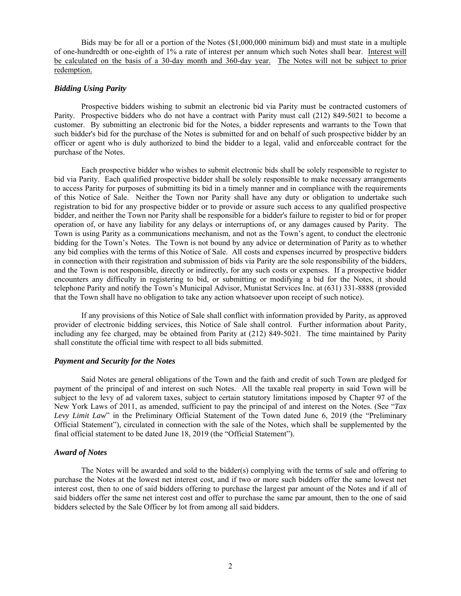Bids may be for all or a portion of the Notes (\$1,000,000 minimum bid) and must state in a multiple of one-hundredth or one-eighth of 1% a rate of interest per annum which such Notes shall bear. Interest will be calculated on the basis of a 30-day month and 360-day year. The Notes will not be subject to prior redemption.

## *Bidding Using Parity*

Prospective bidders wishing to submit an electronic bid via Parity must be contracted customers of Parity. Prospective bidders who do not have a contract with Parity must call (212) 849-5021 to become a customer. By submitting an electronic bid for the Notes, a bidder represents and warrants to the Town that such bidder's bid for the purchase of the Notes is submitted for and on behalf of such prospective bidder by an officer or agent who is duly authorized to bind the bidder to a legal, valid and enforceable contract for the purchase of the Notes.

Each prospective bidder who wishes to submit electronic bids shall be solely responsible to register to bid via Parity. Each qualified prospective bidder shall be solely responsible to make necessary arrangements to access Parity for purposes of submitting its bid in a timely manner and in compliance with the requirements of this Notice of Sale. Neither the Town nor Parity shall have any duty or obligation to undertake such registration to bid for any prospective bidder or to provide or assure such access to any qualified prospective bidder, and neither the Town nor Parity shall be responsible for a bidder's failure to register to bid or for proper operation of, or have any liability for any delays or interruptions of, or any damages caused by Parity. The Town is using Parity as a communications mechanism, and not as the Town's agent, to conduct the electronic bidding for the Town's Notes. The Town is not bound by any advice or determination of Parity as to whether any bid complies with the terms of this Notice of Sale. All costs and expenses incurred by prospective bidders in connection with their registration and submission of bids via Parity are the sole responsibility of the bidders, and the Town is not responsible, directly or indirectly, for any such costs or expenses. If a prospective bidder encounters any difficulty in registering to bid, or submitting or modifying a bid for the Notes, it should telephone Parity and notify the Town's Municipal Advisor, Munistat Services Inc. at (631) 331-8888 (provided that the Town shall have no obligation to take any action whatsoever upon receipt of such notice).

If any provisions of this Notice of Sale shall conflict with information provided by Parity, as approved provider of electronic bidding services, this Notice of Sale shall control. Further information about Parity, including any fee charged, may be obtained from Parity at (212) 849-5021. The time maintained by Parity shall constitute the official time with respect to all bids submitted.

### *Payment and Security for the Notes*

Said Notes are general obligations of the Town and the faith and credit of such Town are pledged for payment of the principal of and interest on such Notes. All the taxable real property in said Town will be subject to the levy of ad valorem taxes, subject to certain statutory limitations imposed by Chapter 97 of the New York Laws of 2011, as amended, sufficient to pay the principal of and interest on the Notes. (See "*Tax Levy Limit Law*" in the Preliminary Official Statement of the Town dated June 6, 2019 (the "Preliminary Official Statement"), circulated in connection with the sale of the Notes, which shall be supplemented by the final official statement to be dated June 18, 2019 (the "Official Statement").

## *Award of Notes*

The Notes will be awarded and sold to the bidder(s) complying with the terms of sale and offering to purchase the Notes at the lowest net interest cost, and if two or more such bidders offer the same lowest net interest cost, then to one of said bidders offering to purchase the largest par amount of the Notes and if all of said bidders offer the same net interest cost and offer to purchase the same par amount, then to the one of said bidders selected by the Sale Officer by lot from among all said bidders.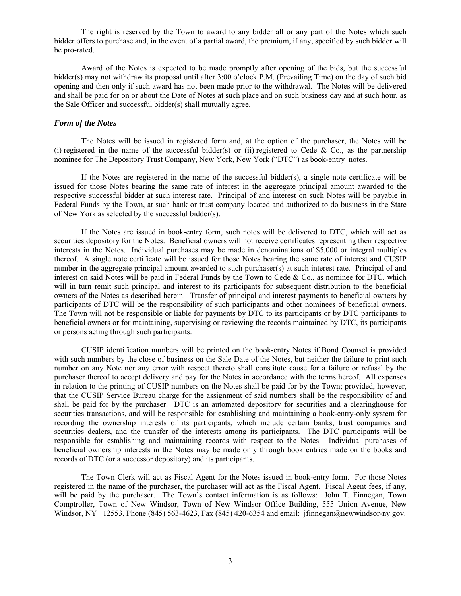The right is reserved by the Town to award to any bidder all or any part of the Notes which such bidder offers to purchase and, in the event of a partial award, the premium, if any, specified by such bidder will be pro-rated.

Award of the Notes is expected to be made promptly after opening of the bids, but the successful bidder(s) may not withdraw its proposal until after 3:00 o'clock P.M. (Prevailing Time) on the day of such bid opening and then only if such award has not been made prior to the withdrawal. The Notes will be delivered and shall be paid for on or about the Date of Notes at such place and on such business day and at such hour, as the Sale Officer and successful bidder(s) shall mutually agree.

## *Form of the Notes*

The Notes will be issued in registered form and, at the option of the purchaser, the Notes will be (i) registered in the name of the successful bidder(s) or (ii) registered to Cede  $\&$  Co., as the partnership nominee for The Depository Trust Company, New York, New York ("DTC") as book-entry notes.

If the Notes are registered in the name of the successful bidder(s), a single note certificate will be issued for those Notes bearing the same rate of interest in the aggregate principal amount awarded to the respective successful bidder at such interest rate. Principal of and interest on such Notes will be payable in Federal Funds by the Town, at such bank or trust company located and authorized to do business in the State of New York as selected by the successful bidder(s).

If the Notes are issued in book-entry form, such notes will be delivered to DTC, which will act as securities depository for the Notes. Beneficial owners will not receive certificates representing their respective interests in the Notes. Individual purchases may be made in denominations of \$5,000 or integral multiples thereof. A single note certificate will be issued for those Notes bearing the same rate of interest and CUSIP number in the aggregate principal amount awarded to such purchaser(s) at such interest rate. Principal of and interest on said Notes will be paid in Federal Funds by the Town to Cede & Co., as nominee for DTC, which will in turn remit such principal and interest to its participants for subsequent distribution to the beneficial owners of the Notes as described herein. Transfer of principal and interest payments to beneficial owners by participants of DTC will be the responsibility of such participants and other nominees of beneficial owners. The Town will not be responsible or liable for payments by DTC to its participants or by DTC participants to beneficial owners or for maintaining, supervising or reviewing the records maintained by DTC, its participants or persons acting through such participants.

CUSIP identification numbers will be printed on the book-entry Notes if Bond Counsel is provided with such numbers by the close of business on the Sale Date of the Notes, but neither the failure to print such number on any Note nor any error with respect thereto shall constitute cause for a failure or refusal by the purchaser thereof to accept delivery and pay for the Notes in accordance with the terms hereof. All expenses in relation to the printing of CUSIP numbers on the Notes shall be paid for by the Town; provided, however, that the CUSIP Service Bureau charge for the assignment of said numbers shall be the responsibility of and shall be paid for by the purchaser. DTC is an automated depository for securities and a clearinghouse for securities transactions, and will be responsible for establishing and maintaining a book-entry-only system for recording the ownership interests of its participants, which include certain banks, trust companies and securities dealers, and the transfer of the interests among its participants. The DTC participants will be responsible for establishing and maintaining records with respect to the Notes. Individual purchases of beneficial ownership interests in the Notes may be made only through book entries made on the books and records of DTC (or a successor depository) and its participants.

The Town Clerk will act as Fiscal Agent for the Notes issued in book-entry form. For those Notes registered in the name of the purchaser, the purchaser will act as the Fiscal Agent. Fiscal Agent fees, if any, will be paid by the purchaser. The Town's contact information is as follows: John T. Finnegan, Town Comptroller, Town of New Windsor, Town of New Windsor Office Building, 555 Union Avenue, New Windsor, NY 12553, Phone (845) 563-4623, Fax (845) 420-6354 and email: jfinnegan@newwindsor-ny.gov.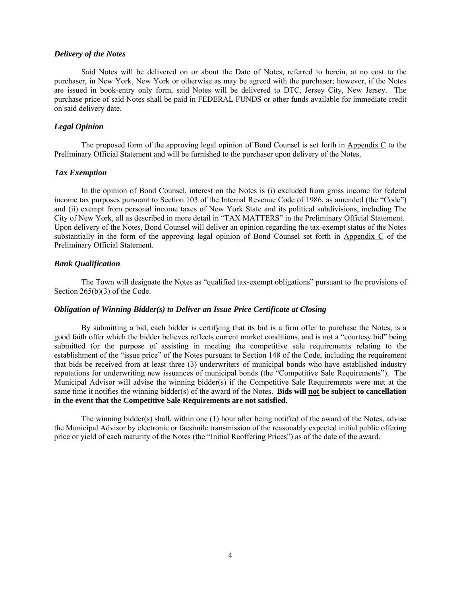#### *Delivery of the Notes*

Said Notes will be delivered on or about the Date of Notes, referred to herein, at no cost to the purchaser, in New York, New York or otherwise as may be agreed with the purchaser; however, if the Notes are issued in book-entry only form, said Notes will be delivered to DTC, Jersey City, New Jersey. The purchase price of said Notes shall be paid in FEDERAL FUNDS or other funds available for immediate credit on said delivery date.

#### *Legal Opinion*

The proposed form of the approving legal opinion of Bond Counsel is set forth in Appendix C to the Preliminary Official Statement and will be furnished to the purchaser upon delivery of the Notes.

#### *Tax Exemption*

In the opinion of Bond Counsel, interest on the Notes is (i) excluded from gross income for federal income tax purposes pursuant to Section 103 of the Internal Revenue Code of 1986, as amended (the "Code") and (ii) exempt from personal income taxes of New York State and its political subdivisions, including The City of New York, all as described in more detail in "TAX MATTERS" in the Preliminary Official Statement. Upon delivery of the Notes, Bond Counsel will deliver an opinion regarding the tax-exempt status of the Notes substantially in the form of the approving legal opinion of Bond Counsel set forth in Appendix C of the Preliminary Official Statement.

#### *Bank Qualification*

The Town will designate the Notes as "qualified tax-exempt obligations" pursuant to the provisions of Section 265(b)(3) of the Code.

## *Obligation of Winning Bidder(s) to Deliver an Issue Price Certificate at Closing*

By submitting a bid, each bidder is certifying that its bid is a firm offer to purchase the Notes, is a good faith offer which the bidder believes reflects current market conditions, and is not a "courtesy bid" being submitted for the purpose of assisting in meeting the competitive sale requirements relating to the establishment of the "issue price" of the Notes pursuant to Section 148 of the Code, including the requirement that bids be received from at least three (3) underwriters of municipal bonds who have established industry reputations for underwriting new issuances of municipal bonds (the "Competitive Sale Requirements"). The Municipal Advisor will advise the winning bidder(s) if the Competitive Sale Requirements were met at the same time it notifies the winning bidder(s) of the award of the Notes. **Bids will not be subject to cancellation in the event that the Competitive Sale Requirements are not satisfied.**

The winning bidder(s) shall, within one (1) hour after being notified of the award of the Notes, advise the Municipal Advisor by electronic or facsimile transmission of the reasonably expected initial public offering price or yield of each maturity of the Notes (the "Initial Reoffering Prices") as of the date of the award.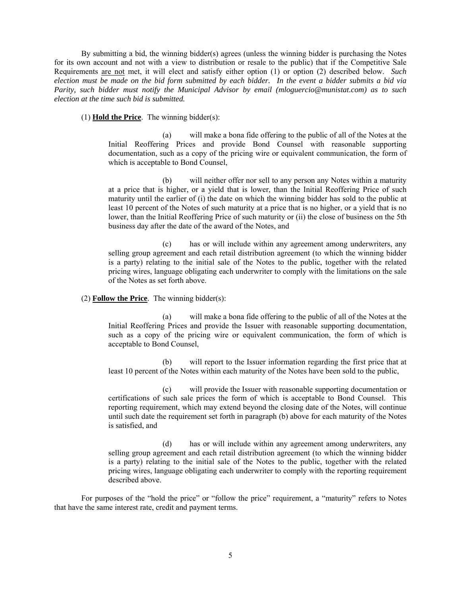By submitting a bid, the winning bidder(s) agrees (unless the winning bidder is purchasing the Notes for its own account and not with a view to distribution or resale to the public) that if the Competitive Sale Requirements are not met, it will elect and satisfy either option (1) or option (2) described below. *Such election must be made on the bid form submitted by each bidder. In the event a bidder submits a bid via Parity, such bidder must notify the Municipal Advisor by email (mloguercio@munistat.com) as to such election at the time such bid is submitted.* 

(1) **Hold the Price**. The winning bidder(s):

(a) will make a bona fide offering to the public of all of the Notes at the Initial Reoffering Prices and provide Bond Counsel with reasonable supporting documentation, such as a copy of the pricing wire or equivalent communication, the form of which is acceptable to Bond Counsel,

(b) will neither offer nor sell to any person any Notes within a maturity at a price that is higher, or a yield that is lower, than the Initial Reoffering Price of such maturity until the earlier of (i) the date on which the winning bidder has sold to the public at least 10 percent of the Notes of such maturity at a price that is no higher, or a yield that is no lower, than the Initial Reoffering Price of such maturity or (ii) the close of business on the 5th business day after the date of the award of the Notes, and

(c) has or will include within any agreement among underwriters, any selling group agreement and each retail distribution agreement (to which the winning bidder is a party) relating to the initial sale of the Notes to the public, together with the related pricing wires, language obligating each underwriter to comply with the limitations on the sale of the Notes as set forth above.

## (2) **Follow the Price**. The winning bidder(s):

(a) will make a bona fide offering to the public of all of the Notes at the Initial Reoffering Prices and provide the Issuer with reasonable supporting documentation, such as a copy of the pricing wire or equivalent communication, the form of which is acceptable to Bond Counsel,

(b) will report to the Issuer information regarding the first price that at least 10 percent of the Notes within each maturity of the Notes have been sold to the public,

(c) will provide the Issuer with reasonable supporting documentation or certifications of such sale prices the form of which is acceptable to Bond Counsel. This reporting requirement, which may extend beyond the closing date of the Notes, will continue until such date the requirement set forth in paragraph (b) above for each maturity of the Notes is satisfied, and

(d) has or will include within any agreement among underwriters, any selling group agreement and each retail distribution agreement (to which the winning bidder is a party) relating to the initial sale of the Notes to the public, together with the related pricing wires, language obligating each underwriter to comply with the reporting requirement described above.

For purposes of the "hold the price" or "follow the price" requirement, a "maturity" refers to Notes that have the same interest rate, credit and payment terms.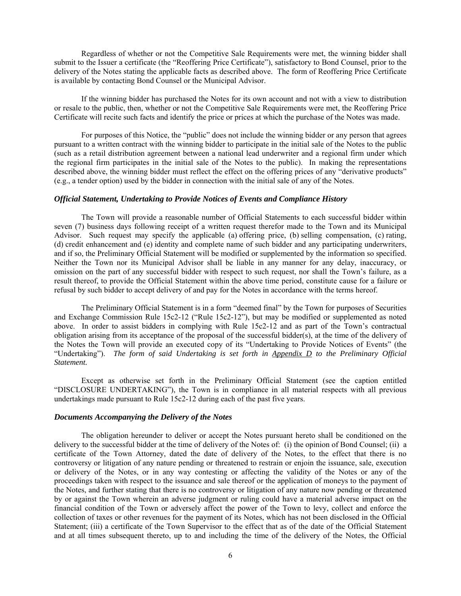Regardless of whether or not the Competitive Sale Requirements were met, the winning bidder shall submit to the Issuer a certificate (the "Reoffering Price Certificate"), satisfactory to Bond Counsel, prior to the delivery of the Notes stating the applicable facts as described above. The form of Reoffering Price Certificate is available by contacting Bond Counsel or the Municipal Advisor.

If the winning bidder has purchased the Notes for its own account and not with a view to distribution or resale to the public, then, whether or not the Competitive Sale Requirements were met, the Reoffering Price Certificate will recite such facts and identify the price or prices at which the purchase of the Notes was made.

For purposes of this Notice, the "public" does not include the winning bidder or any person that agrees pursuant to a written contract with the winning bidder to participate in the initial sale of the Notes to the public (such as a retail distribution agreement between a national lead underwriter and a regional firm under which the regional firm participates in the initial sale of the Notes to the public). In making the representations described above, the winning bidder must reflect the effect on the offering prices of any "derivative products" (e.g., a tender option) used by the bidder in connection with the initial sale of any of the Notes.

#### *Official Statement, Undertaking to Provide Notices of Events and Compliance History*

The Town will provide a reasonable number of Official Statements to each successful bidder within seven (7) business days following receipt of a written request therefor made to the Town and its Municipal Advisor. Such request may specify the applicable (a) offering price, (b) selling compensation, (c) rating, (d) credit enhancement and (e) identity and complete name of such bidder and any participating underwriters, and if so, the Preliminary Official Statement will be modified or supplemented by the information so specified. Neither the Town nor its Municipal Advisor shall be liable in any manner for any delay, inaccuracy, or omission on the part of any successful bidder with respect to such request, nor shall the Town's failure, as a result thereof, to provide the Official Statement within the above time period, constitute cause for a failure or refusal by such bidder to accept delivery of and pay for the Notes in accordance with the terms hereof.

The Preliminary Official Statement is in a form "deemed final" by the Town for purposes of Securities and Exchange Commission Rule 15c2-12 ("Rule 15c2-12"), but may be modified or supplemented as noted above. In order to assist bidders in complying with Rule 15c2-12 and as part of the Town's contractual obligation arising from its acceptance of the proposal of the successful bidder(s), at the time of the delivery of the Notes the Town will provide an executed copy of its "Undertaking to Provide Notices of Events" (the "Undertaking"). *The form of said Undertaking is set forth in Appendix D to the Preliminary Official Statement.*

Except as otherwise set forth in the Preliminary Official Statement (see the caption entitled "DISCLOSURE UNDERTAKING"), the Town is in compliance in all material respects with all previous undertakings made pursuant to Rule 15c2-12 during each of the past five years.

#### *Documents Accompanying the Delivery of the Notes*

The obligation hereunder to deliver or accept the Notes pursuant hereto shall be conditioned on the delivery to the successful bidder at the time of delivery of the Notes of: (i) the opinion of Bond Counsel; (ii) a certificate of the Town Attorney, dated the date of delivery of the Notes, to the effect that there is no controversy or litigation of any nature pending or threatened to restrain or enjoin the issuance, sale, execution or delivery of the Notes, or in any way contesting or affecting the validity of the Notes or any of the proceedings taken with respect to the issuance and sale thereof or the application of moneys to the payment of the Notes, and further stating that there is no controversy or litigation of any nature now pending or threatened by or against the Town wherein an adverse judgment or ruling could have a material adverse impact on the financial condition of the Town or adversely affect the power of the Town to levy, collect and enforce the collection of taxes or other revenues for the payment of its Notes, which has not been disclosed in the Official Statement; (iii) a certificate of the Town Supervisor to the effect that as of the date of the Official Statement and at all times subsequent thereto, up to and including the time of the delivery of the Notes, the Official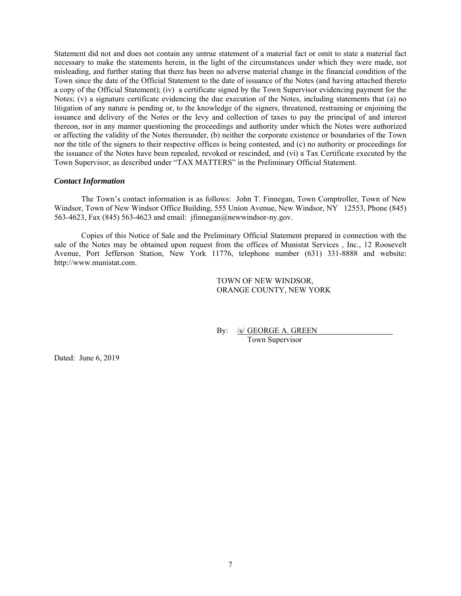Statement did not and does not contain any untrue statement of a material fact or omit to state a material fact necessary to make the statements herein, in the light of the circumstances under which they were made, not misleading, and further stating that there has been no adverse material change in the financial condition of the Town since the date of the Official Statement to the date of issuance of the Notes (and having attached thereto a copy of the Official Statement); (iv) a certificate signed by the Town Supervisor evidencing payment for the Notes; (v) a signature certificate evidencing the due execution of the Notes, including statements that (a) no litigation of any nature is pending or, to the knowledge of the signers, threatened, restraining or enjoining the issuance and delivery of the Notes or the levy and collection of taxes to pay the principal of and interest thereon, nor in any manner questioning the proceedings and authority under which the Notes were authorized or affecting the validity of the Notes thereunder, (b) neither the corporate existence or boundaries of the Town nor the title of the signers to their respective offices is being contested, and (c) no authority or proceedings for the issuance of the Notes have been repealed, revoked or rescinded, and (vi) a Tax Certificate executed by the Town Supervisor, as described under "TAX MATTERS" in the Preliminary Official Statement.

### *Contact Information*

The Town's contact information is as follows: John T. Finnegan, Town Comptroller, Town of New Windsor, Town of New Windsor Office Building, 555 Union Avenue, New Windsor, NY 12553, Phone (845) 563-4623, Fax (845) 563-4623 and email: jfinnegan@newwindsor-ny.gov.

Copies of this Notice of Sale and the Preliminary Official Statement prepared in connection with the sale of the Notes may be obtained upon request from the offices of Munistat Services , Inc., 12 Roosevelt Avenue, Port Jefferson Station, New York 11776, telephone number (631) 331-8888 and website: http://www.munistat.com.

> TOWN OF NEW WINDSOR, ORANGE COUNTY, NEW YORK

By: /s/ GEORGE A. GREEN Town Supervisor

Dated: June 6, 2019